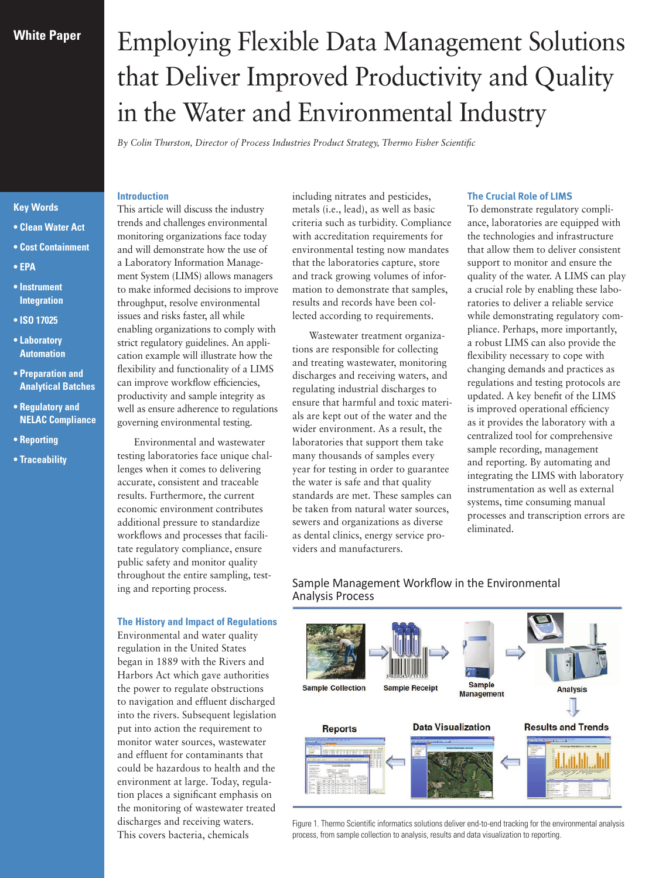# **White Paper**

# Employing Flexible Data Management Solutions that Deliver Improved Productivity and Quality in the Water and Environmental Industry

*By Colin Thurston, Director of Process Industries Product Strategy, Thermo Fisher Scientific* 

### **Key Words**

- **Clean Water Act**
- **Cost Containment**
- **EPA**
- **Instrument Integration**
- **ISO 17025**
- **Laboratory Automation**
- **Preparation and Analytical Batches**
- **Regulatory and NELAC Compliance**
- **Reporting**
- **Traceability**

#### **Introduction**

This article will discuss the industry trends and challenges environmental monitoring organizations face today and will demonstrate how the use of a Laboratory Information Management System (LIMS) allows managers to make informed decisions to improve throughput, resolve environmental issues and risks faster, all while enabling organizations to comply with strict regulatory guidelines. An application example will illustrate how the flexibility and functionality of a LIMS can improve workflow efficiencies, productivity and sample integrity as well as ensure adherence to regulations governing environmental testing.

Environmental and wastewater testing laboratories face unique challenges when it comes to delivering accurate, consistent and traceable results. Furthermore, the current economic environment contributes additional pressure to standardize workflows and processes that facilitate regulatory compliance, ensure public safety and monitor quality throughout the entire sampling, testing and reporting process.

## **The History and Impact of Regulations**

Environmental and water quality regulation in the United States began in 1889 with the Rivers and Harbors Act which gave authorities the power to regulate obstructions to navigation and effluent discharged into the rivers. Subsequent legislation put into action the requirement to monitor water sources, wastewater and effluent for contaminants that could be hazardous to health and the environment at large. Today, regulation places a significant emphasis on the monitoring of wastewater treated discharges and receiving waters. This covers bacteria, chemicals

including nitrates and pesticides, metals (i.e., lead), as well as basic criteria such as turbidity. Compliance with accreditation requirements for environmental testing now mandates that the laboratories capture, store and track growing volumes of information to demonstrate that samples, results and records have been collected according to requirements.

Wastewater treatment organizations are responsible for collecting and treating wastewater, monitoring discharges and receiving waters, and regulating industrial discharges to ensure that harmful and toxic materials are kept out of the water and the wider environment. As a result, the laboratories that support them take many thousands of samples every year for testing in order to guarantee the water is safe and that quality standards are met. These samples can be taken from natural water sources, sewers and organizations as diverse as dental clinics, energy service providers and manufacturers.

#### **The Crucial Role of LIMS**

To demonstrate regulatory compliance, laboratories are equipped with the technologies and infrastructure that allow them to deliver consistent support to monitor and ensure the quality of the water. A LIMS can play a crucial role by enabling these laboratories to deliver a reliable service while demonstrating regulatory compliance. Perhaps, more importantly, a robust LIMS can also provide the flexibility necessary to cope with changing demands and practices as regulations and testing protocols are updated. A key benefit of the LIMS is improved operational efficiency as it provides the laboratory with a centralized tool for comprehensive sample recording, management and reporting. By automating and integrating the LIMS with laboratory instrumentation as well as external systems, time consuming manual processes and transcription errors are eliminated.

# Sample Management Workflow in the Environmental Analysis Process



Figure 1. Thermo Scientific informatics solutions deliver end-to-end tracking for the environmental analysis process, from sample collection to analysis, results and data visualization to reporting.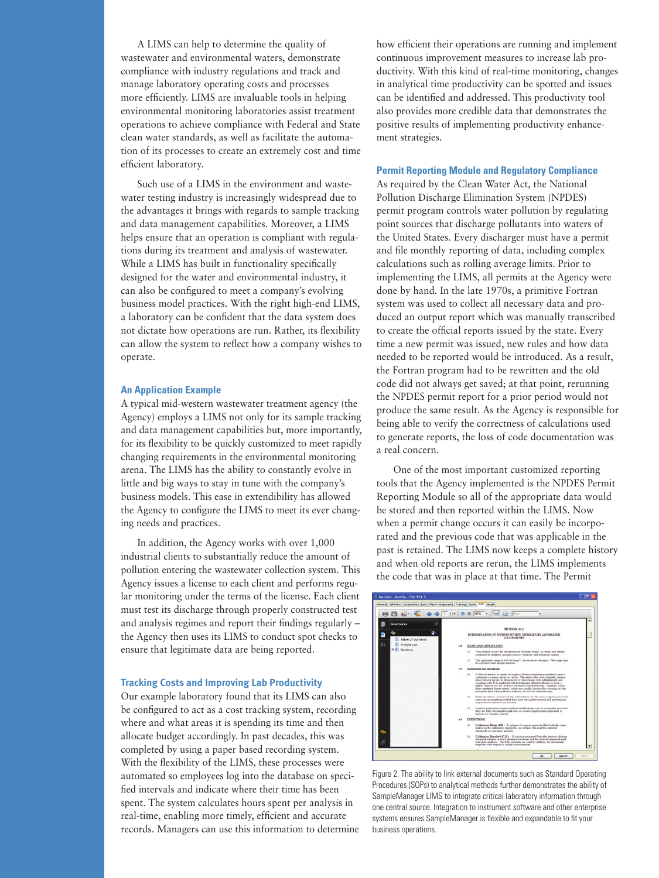A LIMS can help to determine the quality of wastewater and environmental waters, demonstrate compliance with industry regulations and track and manage laboratory operating costs and processes more efficiently. LIMS are invaluable tools in helping environmental monitoring laboratories assist treatment operations to achieve compliance with Federal and State clean water standards, as well as facilitate the automation of its processes to create an extremely cost and time efficient laboratory.

Such use of a LIMS in the environment and wastewater testing industry is increasingly widespread due to the advantages it brings with regards to sample tracking and data management capabilities. Moreover, a LIMS helps ensure that an operation is compliant with regulations during its treatment and analysis of wastewater. While a LIMS has built in functionality specifically designed for the water and environmental industry, it can also be configured to meet a company's evolving business model practices. With the right high-end LIMS, a laboratory can be confident that the data system does not dictate how operations are run. Rather, its flexibility can allow the system to reflect how a company wishes to operate.

#### **An Application Example**

A typical mid-western wastewater treatment agency (the Agency) employs a LIMS not only for its sample tracking and data management capabilities but, more importantly, for its flexibility to be quickly customized to meet rapidly changing requirements in the environmental monitoring arena. The LIMS has the ability to constantly evolve in little and big ways to stay in tune with the company's business models. This ease in extendibility has allowed the Agency to configure the LIMS to meet its ever changing needs and practices.

In addition, the Agency works with over 1,000 industrial clients to substantially reduce the amount of pollution entering the wastewater collection system. This Agency issues a license to each client and performs regular monitoring under the terms of the license. Each client must test its discharge through properly constructed test and analysis regimes and report their findings regularly – the Agency then uses its LIMS to conduct spot checks to ensure that legitimate data are being reported.

#### **Tracking Costs and Improving Lab Productivity**

Our example laboratory found that its LIMS can also be configured to act as a cost tracking system, recording where and what areas it is spending its time and then allocate budget accordingly. In past decades, this was completed by using a paper based recording system. With the flexibility of the LIMS, these processes were automated so employees log into the database on specified intervals and indicate where their time has been spent. The system calculates hours spent per analysis in real-time, enabling more timely, efficient and accurate records. Managers can use this information to determine how efficient their operations are running and implement continuous improvement measures to increase lab productivity. With this kind of real-time monitoring, changes in analytical time productivity can be spotted and issues can be identified and addressed. This productivity tool also provides more credible data that demonstrates the positive results of implementing productivity enhancement strategies.

#### **Permit Reporting Module and Regulatory Compliance**

As required by the Clean Water Act, the National Pollution Discharge Elimination System (NPDES) permit program controls water pollution by regulating point sources that discharge pollutants into waters of the United States. Every discharger must have a permit and file monthly reporting of data, including complex calculations such as rolling average limits. Prior to implementing the LIMS, all permits at the Agency were done by hand. In the late 1970s, a primitive Fortran system was used to collect all necessary data and produced an output report which was manually transcribed to create the official reports issued by the state. Every time a new permit was issued, new rules and how data needed to be reported would be introduced. As a result, the Fortran program had to be rewritten and the old code did not always get saved; at that point, rerunning the NPDES permit report for a prior period would not produce the same result. As the Agency is responsible for being able to verify the correctness of calculations used to generate reports, the loss of code documentation was a real concern.

One of the most important customized reporting tools that the Agency implemented is the NPDES Permit Reporting Module so all of the appropriate data would be stored and then reported within the LIMS. Now when a permit change occurs it can easily be incorporated and the previous code that was applicable in the past is retained. The LIMS now keeps a complete history and when old reports are rerun, the LIMS implements the code that was in place at that time. The Permit



Figure 2. The ability to link external documents such as Standard Operating Procedures (SOPs) to analytical methods further demonstrates the ability of SampleManager LIMS to integrate critical laboratory information through one central source. Integration to instrument software and other enterprise systems ensures SampleManager is flexible and expandable to fit your business operations.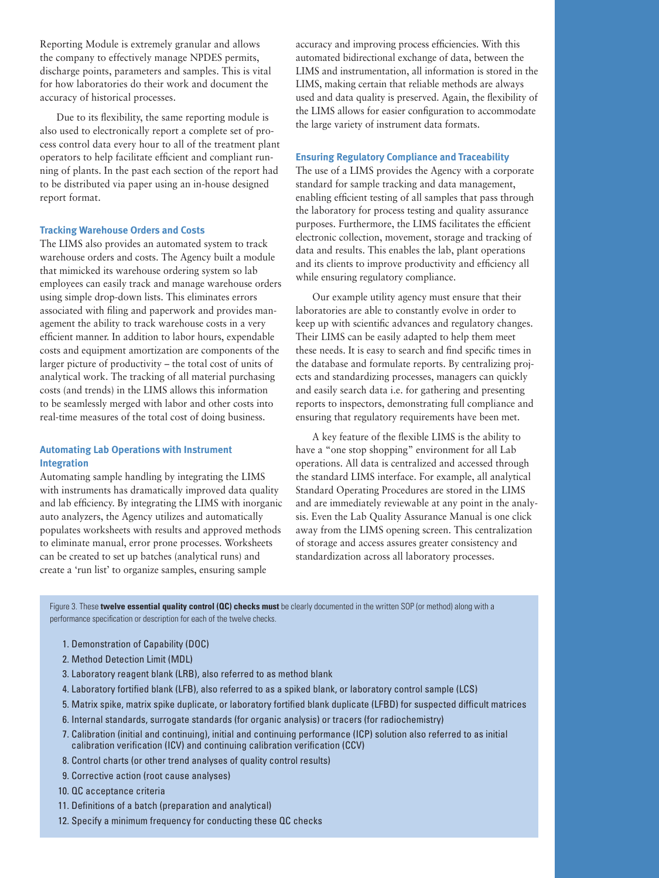Reporting Module is extremely granular and allows the company to effectively manage NPDES permits, discharge points, parameters and samples. This is vital for how laboratories do their work and document the accuracy of historical processes.

Due to its flexibility, the same reporting module is also used to electronically report a complete set of process control data every hour to all of the treatment plant operators to help facilitate efficient and compliant running of plants. In the past each section of the report had to be distributed via paper using an in-house designed report format.

#### **Tracking Warehouse Orders and Costs**

The LIMS also provides an automated system to track warehouse orders and costs. The Agency built a module that mimicked its warehouse ordering system so lab employees can easily track and manage warehouse orders using simple drop-down lists. This eliminates errors associated with filing and paperwork and provides management the ability to track warehouse costs in a very efficient manner. In addition to labor hours, expendable costs and equipment amortization are components of the larger picture of productivity – the total cost of units of analytical work. The tracking of all material purchasing costs (and trends) in the LIMS allows this information to be seamlessly merged with labor and other costs into real-time measures of the total cost of doing business.

#### **Automating Lab Operations with Instrument Integration**

Automating sample handling by integrating the LIMS with instruments has dramatically improved data quality and lab efficiency. By integrating the LIMS with inorganic auto analyzers, the Agency utilizes and automatically populates worksheets with results and approved methods to eliminate manual, error prone processes. Worksheets can be created to set up batches (analytical runs) and create a 'run list' to organize samples, ensuring sample

accuracy and improving process efficiencies. With this automated bidirectional exchange of data, between the LIMS and instrumentation, all information is stored in the LIMS, making certain that reliable methods are always used and data quality is preserved. Again, the flexibility of the LIMS allows for easier configuration to accommodate the large variety of instrument data formats.

#### **Ensuring Regulatory Compliance and Traceability**

The use of a LIMS provides the Agency with a corporate standard for sample tracking and data management, enabling efficient testing of all samples that pass through the laboratory for process testing and quality assurance purposes. Furthermore, the LIMS facilitates the efficient electronic collection, movement, storage and tracking of data and results. This enables the lab, plant operations and its clients to improve productivity and efficiency all while ensuring regulatory compliance.

Our example utility agency must ensure that their laboratories are able to constantly evolve in order to keep up with scientific advances and regulatory changes. Their LIMS can be easily adapted to help them meet these needs. It is easy to search and find specific times in the database and formulate reports. By centralizing projects and standardizing processes, managers can quickly and easily search data i.e. for gathering and presenting reports to inspectors, demonstrating full compliance and ensuring that regulatory requirements have been met.

A key feature of the flexible LIMS is the ability to have a "one stop shopping" environment for all Lab operations. All data is centralized and accessed through the standard LIMS interface. For example, all analytical Standard Operating Procedures are stored in the LIMS and are immediately reviewable at any point in the analysis. Even the Lab Quality Assurance Manual is one click away from the LIMS opening screen. This centralization of storage and access assures greater consistency and standardization across all laboratory processes.

Figure 3. These **twelve essential quality control (QC) checks must** be clearly documented in the written SOP (or method) along with a performance specification or description for each of the twelve checks.

- 1. Demonstration of Capability (DOC)
- 2. Method Detection Limit (MDL)
- 3. Laboratory reagent blank (LRB), also referred to as method blank
- 4. Laboratory fortified blank (LFB), also referred to as a spiked blank, or laboratory control sample (LCS)
- 5. Matrix spike, matrix spike duplicate, or laboratory fortified blank duplicate (LFBD) for suspected difficult matrices
- 6. Internal standards, surrogate standards (for organic analysis) or tracers (for radiochemistry)
- 7. Calibration (initial and continuing), initial and continuing performance (ICP) solution also referred to as initial calibration verification (ICV) and continuing calibration verification (CCV)
- 8. Control charts (or other trend analyses of quality control results)
- 9. Corrective action (root cause analyses)
- 10. QC acceptance criteria
- 11. Definitions of a batch (preparation and analytical)
- 12. Specify a minimum frequency for conducting these QC checks